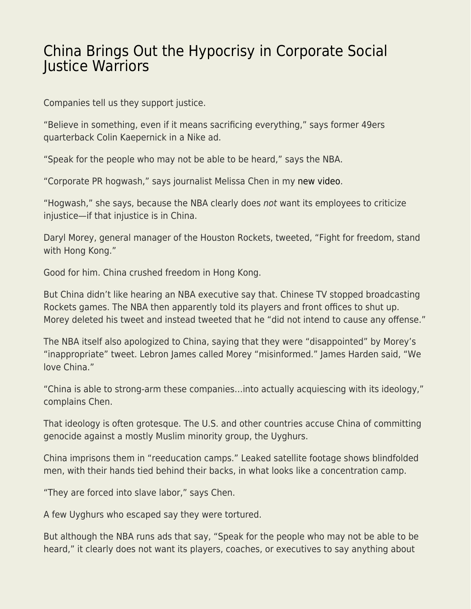## [China Brings Out the Hypocrisy in Corporate Social](https://everything-voluntary.com/china-brings-out-the-hypocrisy-in-corporate-social-justice-warriors) [Justice Warriors](https://everything-voluntary.com/china-brings-out-the-hypocrisy-in-corporate-social-justice-warriors)

Companies tell us they support justice.

"Believe in something, even if it means sacrificing everything," says former 49ers quarterback Colin Kaepernick in a Nike ad.

"Speak for the people who may not be able to be heard," says the NBA.

"Corporate PR hogwash," says journalist Melissa Chen in my [new video](https://www.youtube.com/watch?v=NYtjuR7aJoE).

"Hogwash," she says, because the NBA clearly does not want its employees to criticize injustice—if that injustice is in China.

Daryl Morey, general manager of the Houston Rockets, tweeted, "Fight for freedom, stand with Hong Kong."

Good for him. China crushed freedom in Hong Kong.

But China didn't like hearing an NBA executive say that. Chinese TV stopped broadcasting Rockets games. The NBA then apparently told its players and front offices to shut up. Morey deleted his tweet and instead tweeted that he "did not intend to cause any offense."

The NBA itself also apologized to China, saying that they were "disappointed" by Morey's "inappropriate" tweet. Lebron James called Morey "misinformed." James Harden said, "We love China."

"China is able to strong-arm these companies…into actually acquiescing with its ideology," complains Chen.

That ideology is often grotesque. The U.S. and other countries accuse China of committing genocide against a mostly Muslim minority group, the Uyghurs.

China imprisons them in "reeducation camps." Leaked satellite footage shows blindfolded men, with their hands tied behind their backs, in what looks like a concentration camp.

"They are forced into slave labor," says Chen.

A few Uyghurs who escaped say they were tortured.

But although the NBA runs ads that say, "Speak for the people who may not be able to be heard," it clearly does not want its players, coaches, or executives to say anything about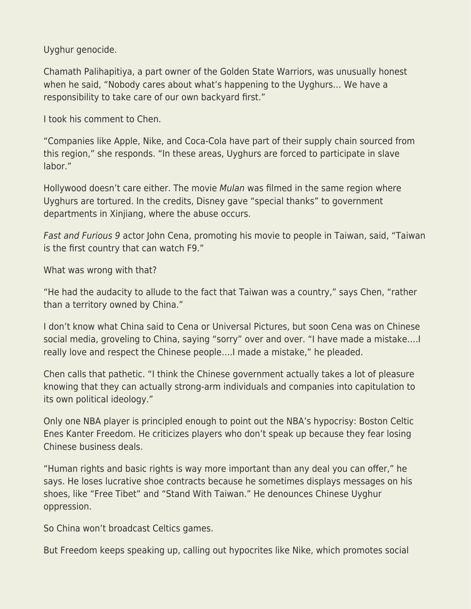Uyghur genocide.

Chamath Palihapitiya, a part owner of the Golden State Warriors, was unusually honest when he said, "Nobody cares about what's happening to the Uyghurs… We have a responsibility to take care of our own backyard first."

I took his comment to Chen.

"Companies like Apple, Nike, and Coca-Cola have part of their supply chain sourced from this region," she responds. "In these areas, Uyghurs are forced to participate in slave labor."

Hollywood doesn't care either. The movie Mulan was filmed in the same region where Uyghurs are tortured. In the credits, Disney gave "special thanks" to government departments in Xinjiang, where the abuse occurs.

Fast and Furious 9 actor John Cena, promoting his movie to people in Taiwan, said, "Taiwan is the first country that can watch F9."

What was wrong with that?

"He had the audacity to allude to the fact that Taiwan was a country," says Chen, "rather than a territory owned by China."

I don't know what China said to Cena or Universal Pictures, but soon Cena was on Chinese social media, groveling to China, saying "sorry" over and over. "I have made a mistake….I really love and respect the Chinese people….I made a mistake," he pleaded.

Chen calls that pathetic. "I think the Chinese government actually takes a lot of pleasure knowing that they can actually strong-arm individuals and companies into capitulation to its own political ideology."

Only one NBA player is principled enough to point out the NBA's hypocrisy: Boston Celtic Enes Kanter Freedom. He criticizes players who don't speak up because they fear losing Chinese business deals.

"Human rights and basic rights is way more important than any deal you can offer," he says. He loses lucrative shoe contracts because he sometimes displays messages on his shoes, like "Free Tibet" and "Stand With Taiwan." He denounces Chinese Uyghur oppression.

So China won't broadcast Celtics games.

But Freedom keeps speaking up, calling out hypocrites like Nike, which promotes social